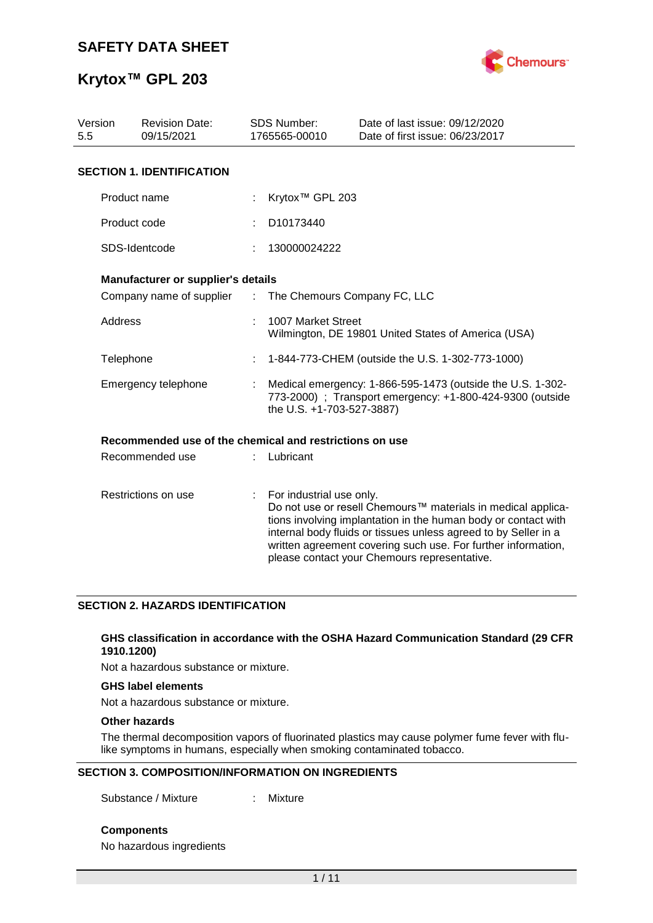

| Version<br>5.5      | <b>Revision Date:</b><br>09/15/2021                     |  | <b>SDS Number:</b><br>1765565-00010                                                                                                                  | Date of last issue: 09/12/2020<br>Date of first issue: 06/23/2017                                                                                                                                                                                                                                                  |  |  |  |  |  |
|---------------------|---------------------------------------------------------|--|------------------------------------------------------------------------------------------------------------------------------------------------------|--------------------------------------------------------------------------------------------------------------------------------------------------------------------------------------------------------------------------------------------------------------------------------------------------------------------|--|--|--|--|--|
|                     | <b>SECTION 1. IDENTIFICATION</b>                        |  |                                                                                                                                                      |                                                                                                                                                                                                                                                                                                                    |  |  |  |  |  |
|                     | Product name                                            |  | Krytox <sup>™</sup> GPL 203                                                                                                                          |                                                                                                                                                                                                                                                                                                                    |  |  |  |  |  |
|                     | Product code                                            |  | D <sub>10173440</sub>                                                                                                                                |                                                                                                                                                                                                                                                                                                                    |  |  |  |  |  |
|                     | SDS-Identcode                                           |  | 130000024222                                                                                                                                         |                                                                                                                                                                                                                                                                                                                    |  |  |  |  |  |
|                     | Manufacturer or supplier's details                      |  |                                                                                                                                                      |                                                                                                                                                                                                                                                                                                                    |  |  |  |  |  |
|                     | Company name of supplier :                              |  |                                                                                                                                                      | The Chemours Company FC, LLC                                                                                                                                                                                                                                                                                       |  |  |  |  |  |
| Address             |                                                         |  | 1007 Market Street<br>Wilmington, DE 19801 United States of America (USA)                                                                            |                                                                                                                                                                                                                                                                                                                    |  |  |  |  |  |
|                     | Telephone                                               |  | 1-844-773-CHEM (outside the U.S. 1-302-773-1000)                                                                                                     |                                                                                                                                                                                                                                                                                                                    |  |  |  |  |  |
|                     | Emergency telephone                                     |  | Medical emergency: 1-866-595-1473 (outside the U.S. 1-302-<br>773-2000) : Transport emergency: +1-800-424-9300 (outside<br>the U.S. +1-703-527-3887) |                                                                                                                                                                                                                                                                                                                    |  |  |  |  |  |
|                     | Recommended use of the chemical and restrictions on use |  |                                                                                                                                                      |                                                                                                                                                                                                                                                                                                                    |  |  |  |  |  |
|                     | Recommended use                                         |  | Lubricant                                                                                                                                            |                                                                                                                                                                                                                                                                                                                    |  |  |  |  |  |
| Restrictions on use |                                                         |  | t.<br>For industrial use only.                                                                                                                       | Do not use or resell Chemours™ materials in medical applica-<br>tions involving implantation in the human body or contact with<br>internal body fluids or tissues unless agreed to by Seller in a<br>written agreement covering such use. For further information,<br>please contact your Chemours representative. |  |  |  |  |  |

#### **SECTION 2. HAZARDS IDENTIFICATION**

#### **GHS classification in accordance with the OSHA Hazard Communication Standard (29 CFR 1910.1200)**

Not a hazardous substance or mixture.

#### **GHS label elements**

Not a hazardous substance or mixture.

#### **Other hazards**

The thermal decomposition vapors of fluorinated plastics may cause polymer fume fever with flulike symptoms in humans, especially when smoking contaminated tobacco.

#### **SECTION 3. COMPOSITION/INFORMATION ON INGREDIENTS**

Substance / Mixture : Mixture

**Components**

No hazardous ingredients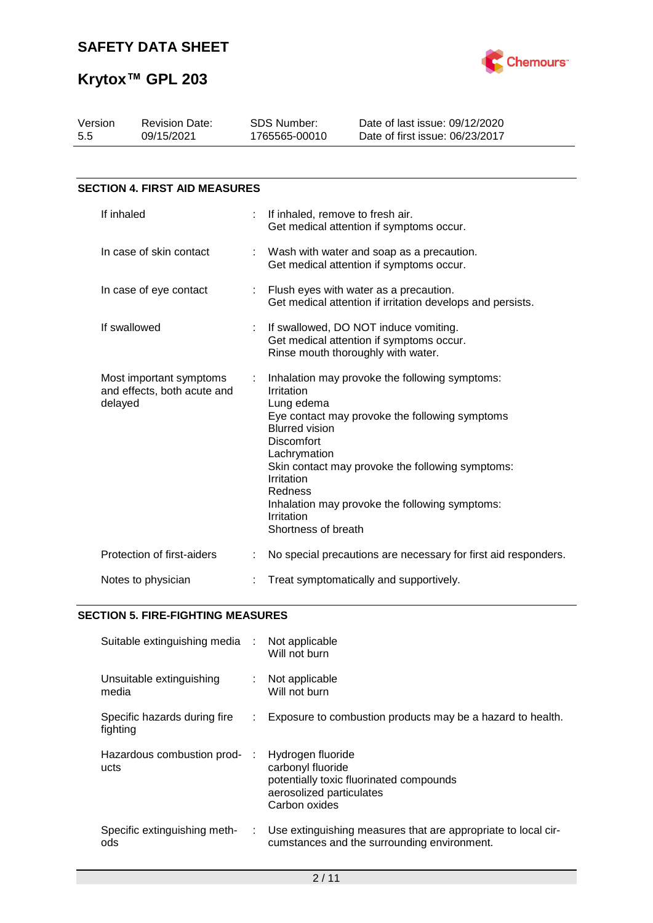

| Version<br>5.5                                                    | <b>Revision Date:</b><br>09/15/2021  |    | <b>SDS Number:</b><br>1765565-00010                                                                                                                                                                                                                                                                                                                            | Date of last issue: 09/12/2020<br>Date of first issue: 06/23/2017                                    |  |  |
|-------------------------------------------------------------------|--------------------------------------|----|----------------------------------------------------------------------------------------------------------------------------------------------------------------------------------------------------------------------------------------------------------------------------------------------------------------------------------------------------------------|------------------------------------------------------------------------------------------------------|--|--|
|                                                                   | <b>SECTION 4. FIRST AID MEASURES</b> |    |                                                                                                                                                                                                                                                                                                                                                                |                                                                                                      |  |  |
|                                                                   |                                      |    |                                                                                                                                                                                                                                                                                                                                                                |                                                                                                      |  |  |
|                                                                   | If inhaled                           | ÷. | If inhaled, remove to fresh air.<br>Get medical attention if symptoms occur.                                                                                                                                                                                                                                                                                   |                                                                                                      |  |  |
|                                                                   | In case of skin contact              |    |                                                                                                                                                                                                                                                                                                                                                                | Wash with water and soap as a precaution.<br>Get medical attention if symptoms occur.                |  |  |
| In case of eye contact                                            |                                      |    |                                                                                                                                                                                                                                                                                                                                                                | Flush eyes with water as a precaution.<br>Get medical attention if irritation develops and persists. |  |  |
| If swallowed                                                      |                                      |    | If swallowed, DO NOT induce vomiting.<br>Get medical attention if symptoms occur.<br>Rinse mouth thoroughly with water.                                                                                                                                                                                                                                        |                                                                                                      |  |  |
| Most important symptoms<br>and effects, both acute and<br>delayed |                                      |    | Inhalation may provoke the following symptoms:<br>Irritation<br>Lung edema<br>Eye contact may provoke the following symptoms<br><b>Blurred vision</b><br><b>Discomfort</b><br>Lachrymation<br>Skin contact may provoke the following symptoms:<br>Irritation<br>Redness<br>Inhalation may provoke the following symptoms:<br>Irritation<br>Shortness of breath |                                                                                                      |  |  |
|                                                                   | Protection of first-aiders           |    |                                                                                                                                                                                                                                                                                                                                                                | No special precautions are necessary for first aid responders.                                       |  |  |
|                                                                   | Notes to physician                   |    |                                                                                                                                                                                                                                                                                                                                                                | Treat symptomatically and supportively.                                                              |  |  |

### **SECTION 5. FIRE-FIGHTING MEASURES**

| Suitable extinguishing media :           |    | Not applicable<br>Will not burn                                                                                                |
|------------------------------------------|----|--------------------------------------------------------------------------------------------------------------------------------|
| Unsuitable extinguishing<br>media        |    | Not applicable<br>Will not burn                                                                                                |
| Specific hazards during fire<br>fighting | ÷. | Exposure to combustion products may be a hazard to health.                                                                     |
| Hazardous combustion prod-<br>ucts       |    | Hydrogen fluoride<br>carbonyl fluoride<br>potentially toxic fluorinated compounds<br>aerosolized particulates<br>Carbon oxides |
| Specific extinguishing meth-<br>ods      | ÷. | Use extinguishing measures that are appropriate to local cir-<br>cumstances and the surrounding environment.                   |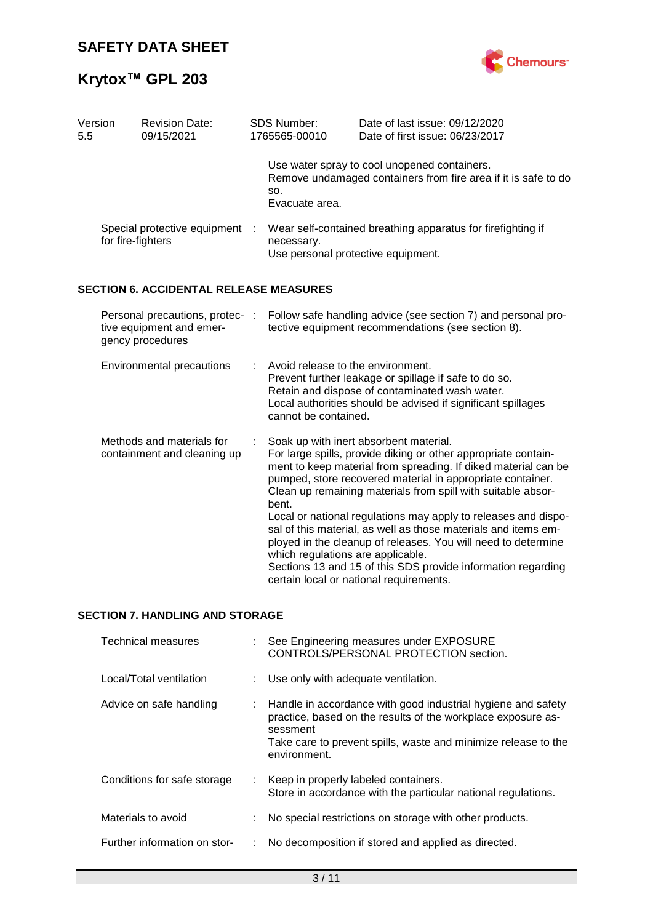

| Version<br>5.5 | <b>Revision Date:</b><br>09/15/2021                                             | SDS Number:<br>1765565-00010                              | Date of last issue: 09/12/2020<br>Date of first issue: 06/23/2017                                                                                                                                                                                                                                                                                                                                                                                                                                                                                                                                                        |
|----------------|---------------------------------------------------------------------------------|-----------------------------------------------------------|--------------------------------------------------------------------------------------------------------------------------------------------------------------------------------------------------------------------------------------------------------------------------------------------------------------------------------------------------------------------------------------------------------------------------------------------------------------------------------------------------------------------------------------------------------------------------------------------------------------------------|
|                |                                                                                 | SO.<br>Evacuate area.                                     | Use water spray to cool unopened containers.<br>Remove undamaged containers from fire area if it is safe to do                                                                                                                                                                                                                                                                                                                                                                                                                                                                                                           |
|                | Special protective equipment :<br>for fire-fighters                             | necessary.                                                | Wear self-contained breathing apparatus for firefighting if<br>Use personal protective equipment.                                                                                                                                                                                                                                                                                                                                                                                                                                                                                                                        |
|                | <b>SECTION 6. ACCIDENTAL RELEASE MEASURES</b>                                   |                                                           |                                                                                                                                                                                                                                                                                                                                                                                                                                                                                                                                                                                                                          |
|                | Personal precautions, protec- :<br>tive equipment and emer-<br>gency procedures |                                                           | Follow safe handling advice (see section 7) and personal pro-<br>tective equipment recommendations (see section 8).                                                                                                                                                                                                                                                                                                                                                                                                                                                                                                      |
|                | <b>Environmental precautions</b>                                                | Avoid release to the environment.<br>cannot be contained. | Prevent further leakage or spillage if safe to do so.<br>Retain and dispose of contaminated wash water.<br>Local authorities should be advised if significant spillages                                                                                                                                                                                                                                                                                                                                                                                                                                                  |
|                | Methods and materials for<br>containment and cleaning up                        | bent.<br>which regulations are applicable.                | Soak up with inert absorbent material.<br>For large spills, provide diking or other appropriate contain-<br>ment to keep material from spreading. If diked material can be<br>pumped, store recovered material in appropriate container.<br>Clean up remaining materials from spill with suitable absor-<br>Local or national regulations may apply to releases and dispo-<br>sal of this material, as well as those materials and items em-<br>ployed in the cleanup of releases. You will need to determine<br>Sections 13 and 15 of this SDS provide information regarding<br>certain local or national requirements. |

### **SECTION 7. HANDLING AND STORAGE**

| Technical measures           |    | See Engineering measures under EXPOSURE<br>CONTROLS/PERSONAL PROTECTION section.                                                                                                                                           |
|------------------------------|----|----------------------------------------------------------------------------------------------------------------------------------------------------------------------------------------------------------------------------|
| Local/Total ventilation      |    | Use only with adequate ventilation.                                                                                                                                                                                        |
| Advice on safe handling      |    | Handle in accordance with good industrial hygiene and safety<br>practice, based on the results of the workplace exposure as-<br>sessment<br>Take care to prevent spills, waste and minimize release to the<br>environment. |
| Conditions for safe storage  | t. | Keep in properly labeled containers.<br>Store in accordance with the particular national regulations.                                                                                                                      |
| Materials to avoid           |    | No special restrictions on storage with other products.                                                                                                                                                                    |
| Further information on stor- |    | No decomposition if stored and applied as directed.                                                                                                                                                                        |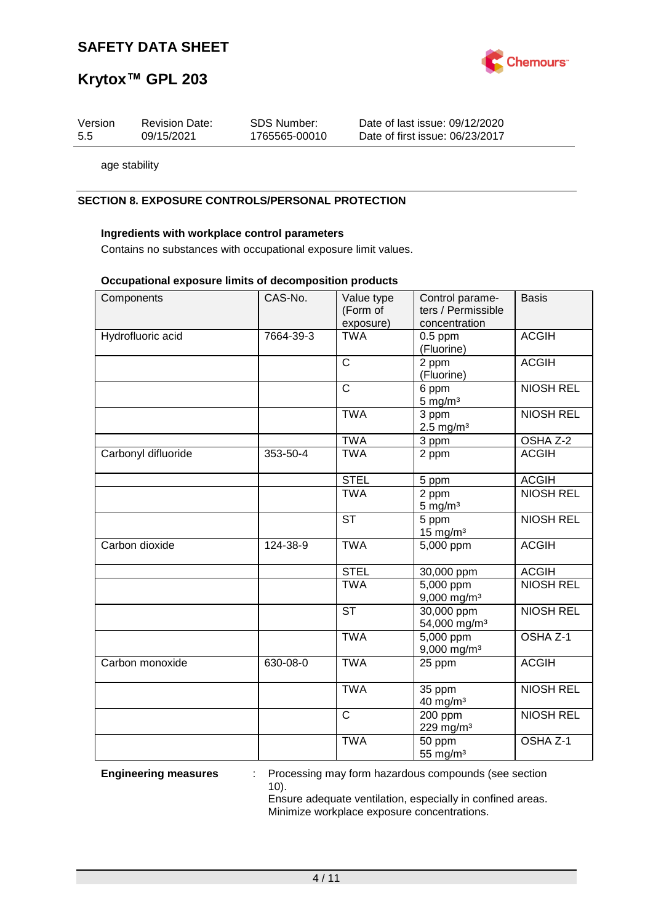

09/12/2020 06/23/2017

## **Krytox™ GPL 203**

| Version | <b>Revision Date:</b> | <b>SDS Number:</b> | Date of last issue:  |
|---------|-----------------------|--------------------|----------------------|
| 5.5     | 09/15/2021            | 1765565-00010      | Date of first issue: |

age stability

#### **SECTION 8. EXPOSURE CONTROLS/PERSONAL PROTECTION**

#### **Ingredients with workplace control parameters**

Contains no substances with occupational exposure limit values.

#### **Occupational exposure limits of decomposition products**

| Components          | CAS-No.   | Value type             | Control parame-           | <b>Basis</b>     |
|---------------------|-----------|------------------------|---------------------------|------------------|
|                     |           | (Form of               | ters / Permissible        |                  |
|                     |           | exposure)              | concentration             |                  |
| Hydrofluoric acid   | 7664-39-3 | <b>TWA</b>             | $0.5$ ppm                 | <b>ACGIH</b>     |
|                     |           |                        | (Fluorine)                |                  |
|                     |           | $\overline{C}$         | 2 ppm                     | <b>ACGIH</b>     |
|                     |           |                        | (Fluorine)                |                  |
|                     |           | $\overline{\text{c}}$  | 6 ppm                     | <b>NIOSH REL</b> |
|                     |           |                        | $5$ mg/m <sup>3</sup>     |                  |
|                     |           |                        |                           |                  |
|                     |           | <b>TWA</b>             | 3 ppm                     | <b>NIOSH REL</b> |
|                     |           |                        | $2.5$ mg/m <sup>3</sup>   |                  |
|                     |           | <b>TWA</b>             | 3 ppm                     | OSHA Z-2         |
| Carbonyl difluoride | 353-50-4  | <b>TWA</b>             | 2 ppm                     | <b>ACGIH</b>     |
|                     |           |                        |                           |                  |
|                     |           | <b>STEL</b>            | 5 ppm                     | <b>ACGIH</b>     |
|                     |           | <b>TWA</b>             | 2 ppm                     | <b>NIOSH REL</b> |
|                     |           |                        | $5 \text{ mg/m}^3$        |                  |
|                     |           | $\overline{\text{ST}}$ | 5 ppm                     | <b>NIOSH REL</b> |
|                     |           |                        | $15 \text{ mg/m}^3$       |                  |
|                     |           |                        |                           |                  |
| Carbon dioxide      | 124-38-9  | <b>TWA</b>             | 5,000 ppm                 | <b>ACGIH</b>     |
|                     |           |                        |                           |                  |
|                     |           | <b>STEL</b>            | 30,000 ppm                | <b>ACGIH</b>     |
|                     |           | <b>TWA</b>             | 5,000 ppm                 | <b>NIOSH REL</b> |
|                     |           |                        | 9,000 mg/m <sup>3</sup>   |                  |
|                     |           | <b>ST</b>              | 30,000 ppm                | <b>NIOSH REL</b> |
|                     |           |                        | 54,000 mg/m <sup>3</sup>  |                  |
|                     |           | <b>TWA</b>             | 5,000 ppm                 | OSHA Z-1         |
|                     |           |                        | $9,000$ mg/m <sup>3</sup> |                  |
| Carbon monoxide     | 630-08-0  | <b>TWA</b>             | 25 ppm                    | <b>ACGIH</b>     |
|                     |           |                        |                           |                  |
|                     |           | <b>TWA</b>             |                           | <b>NIOSH REL</b> |
|                     |           |                        | 35 ppm                    |                  |
|                     |           |                        | $40$ mg/m <sup>3</sup>    |                  |
|                     |           | $\mathsf{C}$           | 200 ppm                   | <b>NIOSH REL</b> |
|                     |           |                        | 229 mg/m <sup>3</sup>     |                  |
|                     |           | <b>TWA</b>             | 50 ppm                    | OSHA Z-1         |
|                     |           |                        | 55 mg/m <sup>3</sup>      |                  |

**Engineering measures** : Processing may form hazardous compounds (see section 10).

Ensure adequate ventilation, especially in confined areas. Minimize workplace exposure concentrations.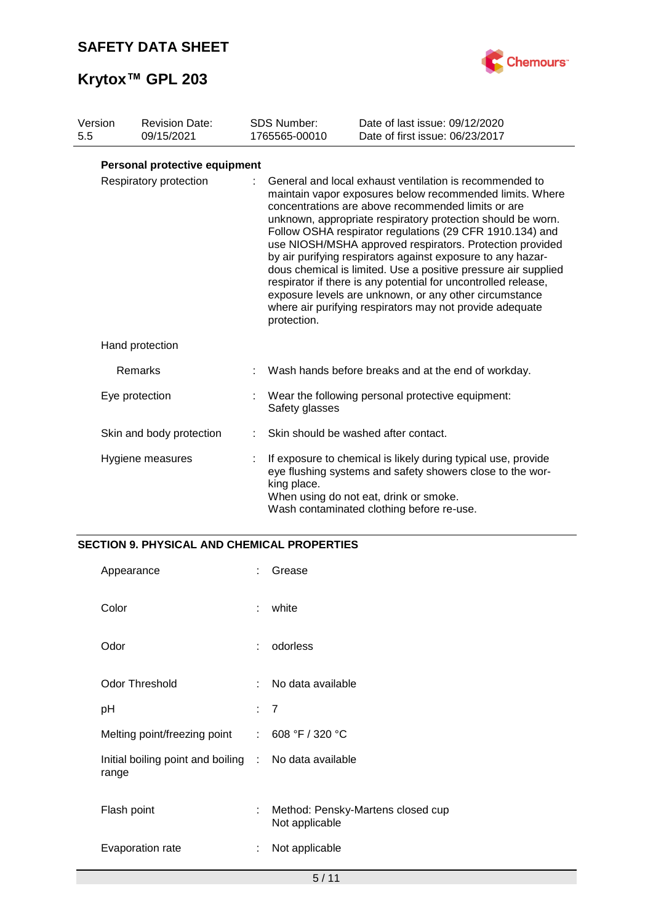

| Version | <b>Revision Date:</b>         | <b>SDS Number:</b> | Date of last issue: 09/12/2020                                                                                                                                                                                                                                                                                                                                                                                                                                                                                                                                                                                                                                                            |
|---------|-------------------------------|--------------------|-------------------------------------------------------------------------------------------------------------------------------------------------------------------------------------------------------------------------------------------------------------------------------------------------------------------------------------------------------------------------------------------------------------------------------------------------------------------------------------------------------------------------------------------------------------------------------------------------------------------------------------------------------------------------------------------|
| 5.5     | 09/15/2021                    | 1765565-00010      | Date of first issue: 06/23/2017                                                                                                                                                                                                                                                                                                                                                                                                                                                                                                                                                                                                                                                           |
|         | Personal protective equipment |                    |                                                                                                                                                                                                                                                                                                                                                                                                                                                                                                                                                                                                                                                                                           |
|         | Respiratory protection        | protection.        | General and local exhaust ventilation is recommended to<br>maintain vapor exposures below recommended limits. Where<br>concentrations are above recommended limits or are<br>unknown, appropriate respiratory protection should be worn.<br>Follow OSHA respirator regulations (29 CFR 1910.134) and<br>use NIOSH/MSHA approved respirators. Protection provided<br>by air purifying respirators against exposure to any hazar-<br>dous chemical is limited. Use a positive pressure air supplied<br>respirator if there is any potential for uncontrolled release,<br>exposure levels are unknown, or any other circumstance<br>where air purifying respirators may not provide adequate |
|         | Hand protection               |                    |                                                                                                                                                                                                                                                                                                                                                                                                                                                                                                                                                                                                                                                                                           |
|         | Remarks                       |                    | Wash hands before breaks and at the end of workday.                                                                                                                                                                                                                                                                                                                                                                                                                                                                                                                                                                                                                                       |
|         | Eye protection                | Safety glasses     | Wear the following personal protective equipment:                                                                                                                                                                                                                                                                                                                                                                                                                                                                                                                                                                                                                                         |
|         | Skin and body protection      |                    | Skin should be washed after contact.                                                                                                                                                                                                                                                                                                                                                                                                                                                                                                                                                                                                                                                      |
|         | Hygiene measures              | king place.        | If exposure to chemical is likely during typical use, provide<br>eye flushing systems and safety showers close to the wor-<br>When using do not eat, drink or smoke.<br>Wash contaminated clothing before re-use.                                                                                                                                                                                                                                                                                                                                                                                                                                                                         |

### **SECTION 9. PHYSICAL AND CHEMICAL PROPERTIES**

| Appearance                                                     |   | Grease                                              |
|----------------------------------------------------------------|---|-----------------------------------------------------|
| Color                                                          | ÷ | white                                               |
| Odor                                                           | ÷ | odorless                                            |
| <b>Odor Threshold</b>                                          | ÷ | No data available                                   |
| рH                                                             |   | : 7                                                 |
| Melting point/freezing point : 608 °F / 320 °C                 |   |                                                     |
| Initial boiling point and boiling : No data available<br>range |   |                                                     |
| Flash point                                                    | ÷ | Method: Pensky-Martens closed cup<br>Not applicable |
| Evaporation rate                                               | ÷ | Not applicable                                      |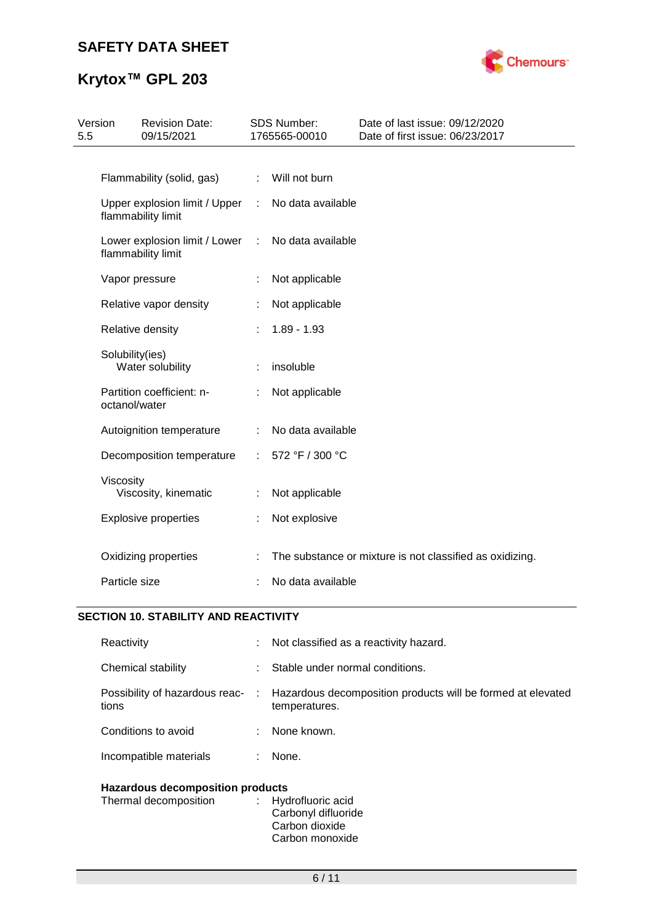

# **Krytox™ GPL 203**

| 5.5 | Version         | <b>Revision Date:</b><br>09/15/2021                 |                | <b>SDS Number:</b><br>1765565-00010 | Date of last issue: 09/12/2020<br>Date of first issue: 06/23/2017 |
|-----|-----------------|-----------------------------------------------------|----------------|-------------------------------------|-------------------------------------------------------------------|
|     |                 |                                                     |                |                                     |                                                                   |
|     |                 | Flammability (solid, gas)                           | ÷.             | Will not burn                       |                                                                   |
|     |                 | Upper explosion limit / Upper<br>flammability limit | $\mathbb{R}^n$ | No data available                   |                                                                   |
|     |                 | Lower explosion limit / Lower<br>flammability limit | $\mathbb{R}^n$ | No data available                   |                                                                   |
|     |                 | Vapor pressure                                      |                | Not applicable                      |                                                                   |
|     |                 | Relative vapor density                              |                | Not applicable                      |                                                                   |
|     |                 | Relative density                                    |                | $1.89 - 1.93$                       |                                                                   |
|     | Solubility(ies) | Water solubility                                    |                | insoluble                           |                                                                   |
|     | octanol/water   | Partition coefficient: n-                           |                | Not applicable                      |                                                                   |
|     |                 | Autoignition temperature                            |                | No data available                   |                                                                   |
|     |                 | Decomposition temperature                           | ÷.             | 572 °F / 300 °C                     |                                                                   |
|     | Viscosity       | Viscosity, kinematic                                |                | Not applicable                      |                                                                   |
|     |                 | <b>Explosive properties</b>                         |                | Not explosive                       |                                                                   |
|     |                 | Oxidizing properties                                |                |                                     | The substance or mixture is not classified as oxidizing.          |
|     | Particle size   |                                                     |                | No data available                   |                                                                   |

### **SECTION 10. STABILITY AND REACTIVITY**

| Reactivity                              | t i | Not classified as a reactivity hazard.                                       |
|-----------------------------------------|-----|------------------------------------------------------------------------------|
| Chemical stability                      | ÷.  | Stable under normal conditions.                                              |
| Possibility of hazardous reac-<br>tions | ÷.  | Hazardous decomposition products will be formed at elevated<br>temperatures. |
| Conditions to avoid                     | ÷.  | None known.                                                                  |
| Incompatible materials                  | ÷.  | None.                                                                        |
|                                         |     |                                                                              |

### **Hazardous decomposition products**

| Thermal decomposition | : Hydrofluoric acid<br>Carbonyl difluoride |
|-----------------------|--------------------------------------------|
|                       | Carbon dioxide                             |
|                       | Carbon monoxide                            |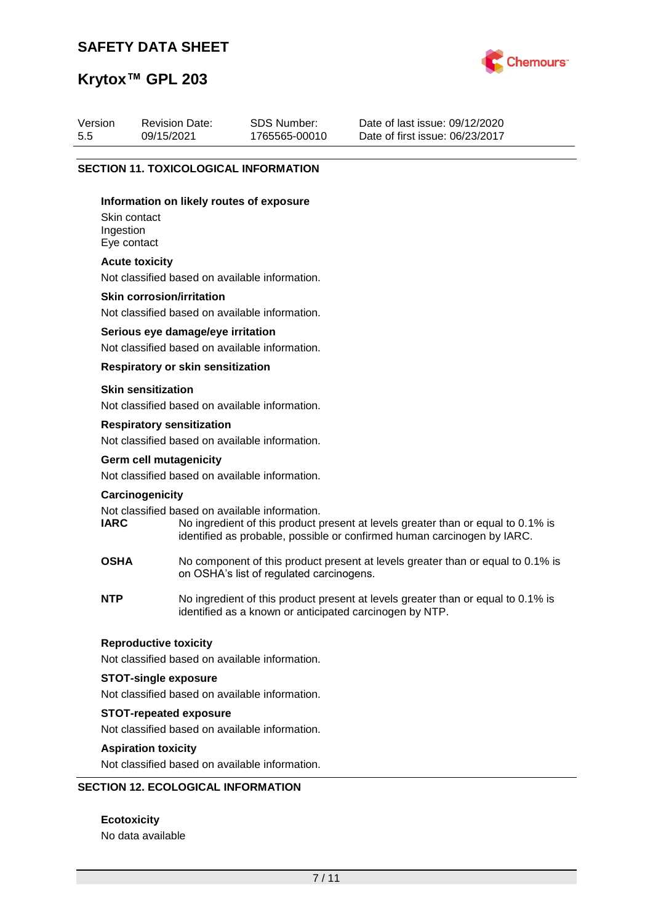

## **Krytox™ GPL 203**

| Version | <b>Revision Date:</b> | SDS Number:   | Date of last issue: 09/12/2020  |
|---------|-----------------------|---------------|---------------------------------|
| 5.5     | 09/15/2021            | 1765565-00010 | Date of first issue: 06/23/2017 |
|         |                       |               |                                 |

#### **SECTION 11. TOXICOLOGICAL INFORMATION**

#### **Information on likely routes of exposure**

Skin contact Ingestion Eye contact

#### **Acute toxicity**

Not classified based on available information.

#### **Skin corrosion/irritation**

Not classified based on available information.

#### **Serious eye damage/eye irritation**

Not classified based on available information.

#### **Respiratory or skin sensitization**

#### **Skin sensitization**

Not classified based on available information.

#### **Respiratory sensitization**

Not classified based on available information.

# **Germ cell mutagenicity**

Not classified based on available information.

#### **Carcinogenicity**

Not classified based on available information.<br> **IARC** No ingredient of this product to

- No ingredient of this product present at levels greater than or equal to 0.1% is identified as probable, possible or confirmed human carcinogen by IARC.
- **OSHA** No component of this product present at levels greater than or equal to 0.1% is on OSHA's list of regulated carcinogens.
- **NTP** No ingredient of this product present at levels greater than or equal to 0.1% is identified as a known or anticipated carcinogen by NTP.

#### **Reproductive toxicity**

Not classified based on available information.

#### **STOT-single exposure**

Not classified based on available information.

#### **STOT-repeated exposure**

Not classified based on available information.

#### **Aspiration toxicity**

Not classified based on available information.

#### **SECTION 12. ECOLOGICAL INFORMATION**

**Ecotoxicity** No data available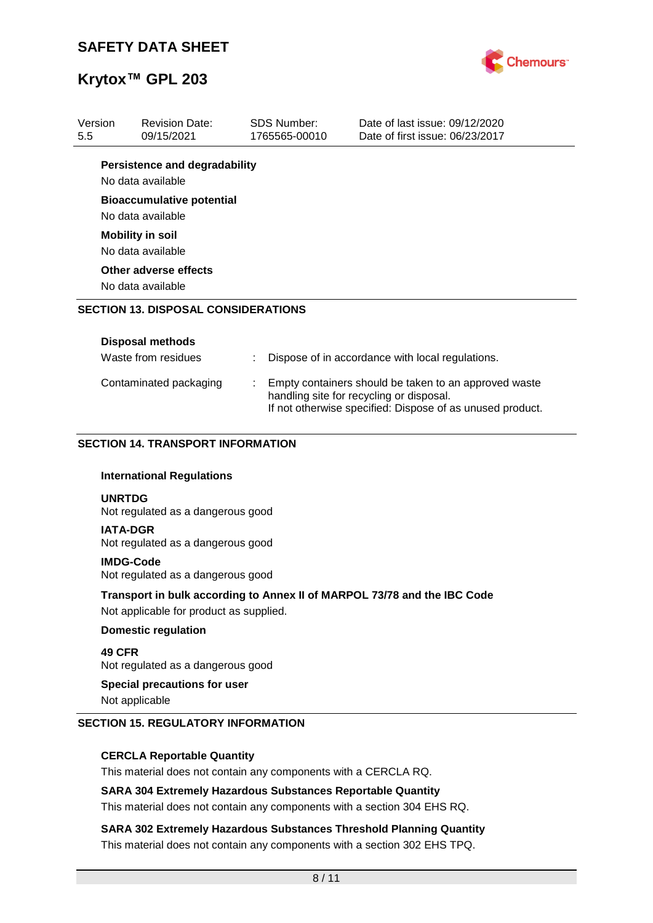

| Version<br>5.5 | <b>Revision Date:</b><br>09/15/2021                                          |   | <b>SDS Number:</b><br>1765565-00010                                                                                                                            | Date of last issue: 09/12/2020<br>Date of first issue: 06/23/2017        |  |  |
|----------------|------------------------------------------------------------------------------|---|----------------------------------------------------------------------------------------------------------------------------------------------------------------|--------------------------------------------------------------------------|--|--|
|                | <b>Persistence and degradability</b>                                         |   |                                                                                                                                                                |                                                                          |  |  |
|                | No data available                                                            |   |                                                                                                                                                                |                                                                          |  |  |
|                | <b>Bioaccumulative potential</b><br>No data available                        |   |                                                                                                                                                                |                                                                          |  |  |
|                | <b>Mobility in soil</b>                                                      |   |                                                                                                                                                                |                                                                          |  |  |
|                | No data available                                                            |   |                                                                                                                                                                |                                                                          |  |  |
|                | Other adverse effects                                                        |   |                                                                                                                                                                |                                                                          |  |  |
|                | No data available                                                            |   |                                                                                                                                                                |                                                                          |  |  |
|                | <b>SECTION 13. DISPOSAL CONSIDERATIONS</b>                                   |   |                                                                                                                                                                |                                                                          |  |  |
|                |                                                                              |   |                                                                                                                                                                |                                                                          |  |  |
|                | <b>Disposal methods</b>                                                      |   |                                                                                                                                                                |                                                                          |  |  |
|                | Waste from residues                                                          | ÷ |                                                                                                                                                                | Dispose of in accordance with local regulations.                         |  |  |
|                | Contaminated packaging                                                       |   | Empty containers should be taken to an approved waste<br>handling site for recycling or disposal.<br>If not otherwise specified: Dispose of as unused product. |                                                                          |  |  |
|                | <b>SECTION 14. TRANSPORT INFORMATION</b><br><b>International Regulations</b> |   |                                                                                                                                                                |                                                                          |  |  |
|                | <b>UNRTDG</b><br>Not regulated as a dangerous good                           |   |                                                                                                                                                                |                                                                          |  |  |
|                | <b>IATA-DGR</b><br>Not regulated as a dangerous good                         |   |                                                                                                                                                                |                                                                          |  |  |
|                | <b>IMDG-Code</b><br>Not regulated as a dangerous good                        |   |                                                                                                                                                                |                                                                          |  |  |
|                | Not applicable for product as supplied.                                      |   |                                                                                                                                                                | Transport in bulk according to Annex II of MARPOL 73/78 and the IBC Code |  |  |
|                | <b>Domestic regulation</b>                                                   |   |                                                                                                                                                                |                                                                          |  |  |
| <b>49 CFR</b>  |                                                                              |   |                                                                                                                                                                |                                                                          |  |  |

Not regulated as a dangerous good

#### **Special precautions for user**

Not applicable

#### **SECTION 15. REGULATORY INFORMATION**

#### **CERCLA Reportable Quantity**

This material does not contain any components with a CERCLA RQ.

#### **SARA 304 Extremely Hazardous Substances Reportable Quantity**

This material does not contain any components with a section 304 EHS RQ.

**SARA 302 Extremely Hazardous Substances Threshold Planning Quantity** This material does not contain any components with a section 302 EHS TPQ.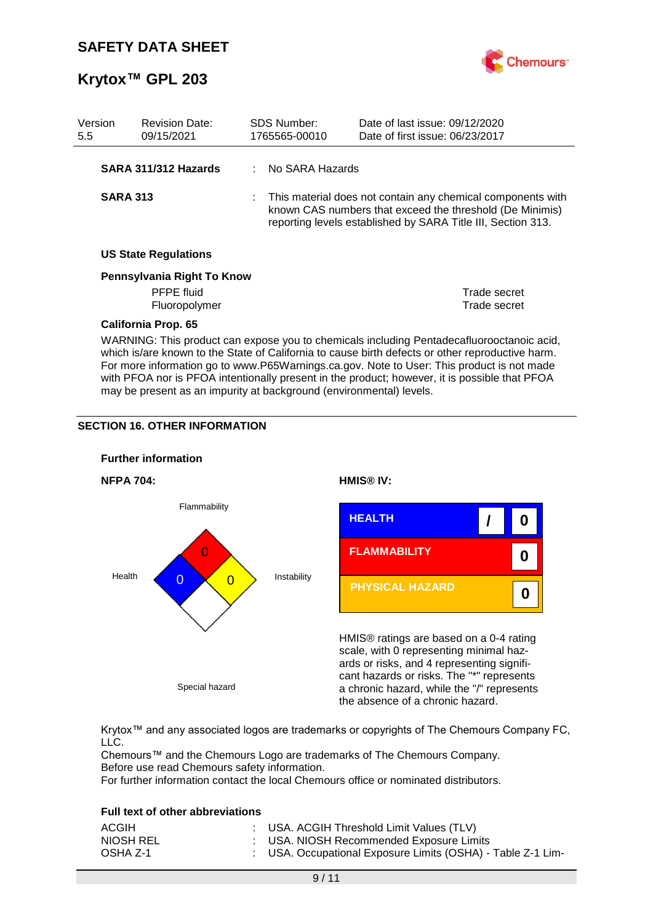

| Version<br>5.5                                                                                                                                                                                                                                                                                                                                                                              | <b>Revision Date:</b><br>09/15/2021 |  | <b>SDS Number:</b><br>1765565-00010 | Date of last issue: 09/12/2020<br>Date of first issue: 06/23/2017                                                                                                                       |  |
|---------------------------------------------------------------------------------------------------------------------------------------------------------------------------------------------------------------------------------------------------------------------------------------------------------------------------------------------------------------------------------------------|-------------------------------------|--|-------------------------------------|-----------------------------------------------------------------------------------------------------------------------------------------------------------------------------------------|--|
|                                                                                                                                                                                                                                                                                                                                                                                             | SARA 311/312 Hazards                |  | No SARA Hazards                     |                                                                                                                                                                                         |  |
| <b>SARA 313</b>                                                                                                                                                                                                                                                                                                                                                                             |                                     |  |                                     | This material does not contain any chemical components with<br>known CAS numbers that exceed the threshold (De Minimis)<br>reporting levels established by SARA Title III, Section 313. |  |
|                                                                                                                                                                                                                                                                                                                                                                                             | <b>US State Regulations</b>         |  |                                     |                                                                                                                                                                                         |  |
| Pennsylvania Right To Know                                                                                                                                                                                                                                                                                                                                                                  |                                     |  |                                     |                                                                                                                                                                                         |  |
|                                                                                                                                                                                                                                                                                                                                                                                             | <b>PFPE</b> fluid<br>Fluoropolymer  |  |                                     | Trade secret<br>Trade secret                                                                                                                                                            |  |
|                                                                                                                                                                                                                                                                                                                                                                                             | <b>California Prop. 65</b>          |  |                                     |                                                                                                                                                                                         |  |
| WARNING: This product can expose you to chemicals including Pentadecafluorooctanoic acid,<br>which is/are known to the State of California to cause birth defects or other reproductive harm.<br>For more information go to www.P65Warnings.ca.gov. Note to User: This product is not made<br>with PFOA nor is PFOA intentionally present in the product; however, it is possible that PFOA |                                     |  |                                     |                                                                                                                                                                                         |  |

may be present as an impurity at background (environmental) levels.

#### **SECTION 16. OTHER INFORMATION**



Krytox™ and any associated logos are trademarks or copyrights of The Chemours Company FC, LLC.

Chemours™ and the Chemours Logo are trademarks of The Chemours Company. Before use read Chemours safety information.

For further information contact the local Chemours office or nominated distributors.

#### **Full text of other abbreviations**

| ACGIH     | : USA. ACGIH Threshold Limit Values (TLV)                   |
|-----------|-------------------------------------------------------------|
| NIOSH REL | : USA. NIOSH Recommended Exposure Limits                    |
| OSHA Z-1  | : USA. Occupational Exposure Limits (OSHA) - Table Z-1 Lim- |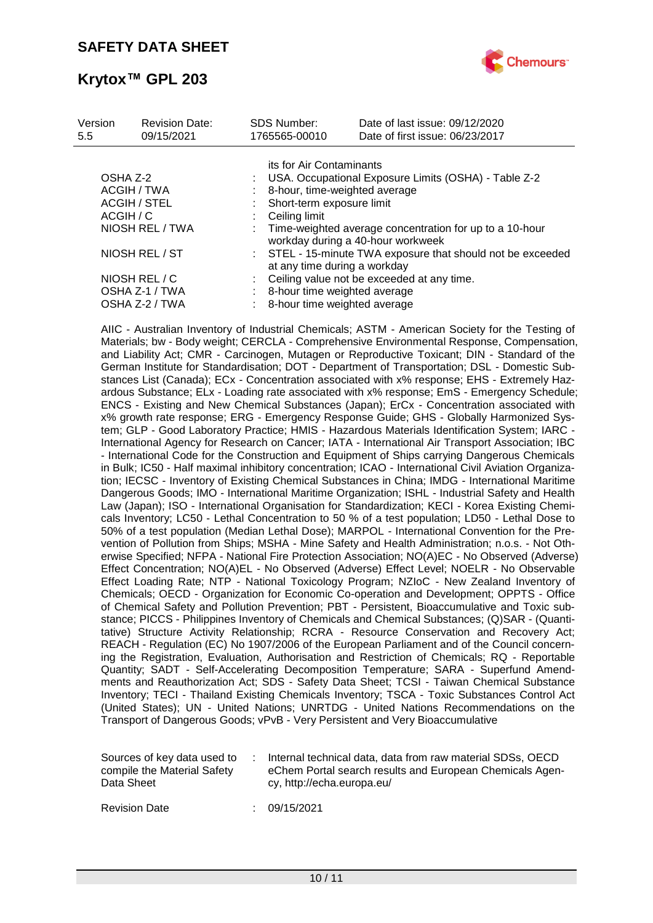

| Version<br>5.5      | <b>Revision Date:</b><br>09/15/2021 | <b>SDS Number:</b><br>1765565-00010                                                         | Date of last issue: 09/12/2020<br>Date of first issue: 06/23/2017                            |  |
|---------------------|-------------------------------------|---------------------------------------------------------------------------------------------|----------------------------------------------------------------------------------------------|--|
|                     |                                     | its for Air Contaminants                                                                    |                                                                                              |  |
| OSHA Z-2            |                                     |                                                                                             | USA. Occupational Exposure Limits (OSHA) - Table Z-2                                         |  |
| ACGIH / TWA         |                                     |                                                                                             | 8-hour, time-weighted average                                                                |  |
| <b>ACGIH / STEL</b> |                                     | Short-term exposure limit                                                                   |                                                                                              |  |
| ACGIH / C           |                                     | Ceiling limit                                                                               |                                                                                              |  |
|                     | NIOSH REL / TWA                     |                                                                                             | Time-weighted average concentration for up to a 10-hour<br>workday during a 40-hour workweek |  |
| NIOSH REL / ST      |                                     | : STEL - 15-minute TWA exposure that should not be exceeded<br>at any time during a workday |                                                                                              |  |
|                     | NIOSH REL / C                       |                                                                                             | Ceiling value not be exceeded at any time.                                                   |  |
|                     | OSHA Z-1 / TWA                      | 8-hour time weighted average                                                                |                                                                                              |  |
|                     | OSHA Z-2 / TWA                      | 8-hour time weighted average                                                                |                                                                                              |  |

AIIC - Australian Inventory of Industrial Chemicals; ASTM - American Society for the Testing of Materials; bw - Body weight; CERCLA - Comprehensive Environmental Response, Compensation, and Liability Act; CMR - Carcinogen, Mutagen or Reproductive Toxicant; DIN - Standard of the German Institute for Standardisation; DOT - Department of Transportation; DSL - Domestic Substances List (Canada); ECx - Concentration associated with x% response; EHS - Extremely Hazardous Substance; ELx - Loading rate associated with x% response; EmS - Emergency Schedule; ENCS - Existing and New Chemical Substances (Japan); ErCx - Concentration associated with x% growth rate response; ERG - Emergency Response Guide; GHS - Globally Harmonized System; GLP - Good Laboratory Practice; HMIS - Hazardous Materials Identification System; IARC - International Agency for Research on Cancer; IATA - International Air Transport Association; IBC - International Code for the Construction and Equipment of Ships carrying Dangerous Chemicals in Bulk; IC50 - Half maximal inhibitory concentration; ICAO - International Civil Aviation Organization; IECSC - Inventory of Existing Chemical Substances in China; IMDG - International Maritime Dangerous Goods; IMO - International Maritime Organization; ISHL - Industrial Safety and Health Law (Japan); ISO - International Organisation for Standardization; KECI - Korea Existing Chemicals Inventory; LC50 - Lethal Concentration to 50 % of a test population; LD50 - Lethal Dose to 50% of a test population (Median Lethal Dose); MARPOL - International Convention for the Prevention of Pollution from Ships; MSHA - Mine Safety and Health Administration; n.o.s. - Not Otherwise Specified; NFPA - National Fire Protection Association; NO(A)EC - No Observed (Adverse) Effect Concentration; NO(A)EL - No Observed (Adverse) Effect Level; NOELR - No Observable Effect Loading Rate; NTP - National Toxicology Program; NZIoC - New Zealand Inventory of Chemicals; OECD - Organization for Economic Co-operation and Development; OPPTS - Office of Chemical Safety and Pollution Prevention; PBT - Persistent, Bioaccumulative and Toxic substance; PICCS - Philippines Inventory of Chemicals and Chemical Substances; (Q)SAR - (Quantitative) Structure Activity Relationship; RCRA - Resource Conservation and Recovery Act; REACH - Regulation (EC) No 1907/2006 of the European Parliament and of the Council concerning the Registration, Evaluation, Authorisation and Restriction of Chemicals; RQ - Reportable Quantity; SADT - Self-Accelerating Decomposition Temperature; SARA - Superfund Amendments and Reauthorization Act; SDS - Safety Data Sheet; TCSI - Taiwan Chemical Substance Inventory; TECI - Thailand Existing Chemicals Inventory; TSCA - Toxic Substances Control Act (United States); UN - United Nations; UNRTDG - United Nations Recommendations on the Transport of Dangerous Goods; vPvB - Very Persistent and Very Bioaccumulative

| Sources of key data used to | Internal technical data, data from raw material SDSs, OECD |
|-----------------------------|------------------------------------------------------------|
| compile the Material Safety | eChem Portal search results and European Chemicals Agen-   |
| Data Sheet                  | cy, http://echa.europa.eu/                                 |

Revision Date : 09/15/2021